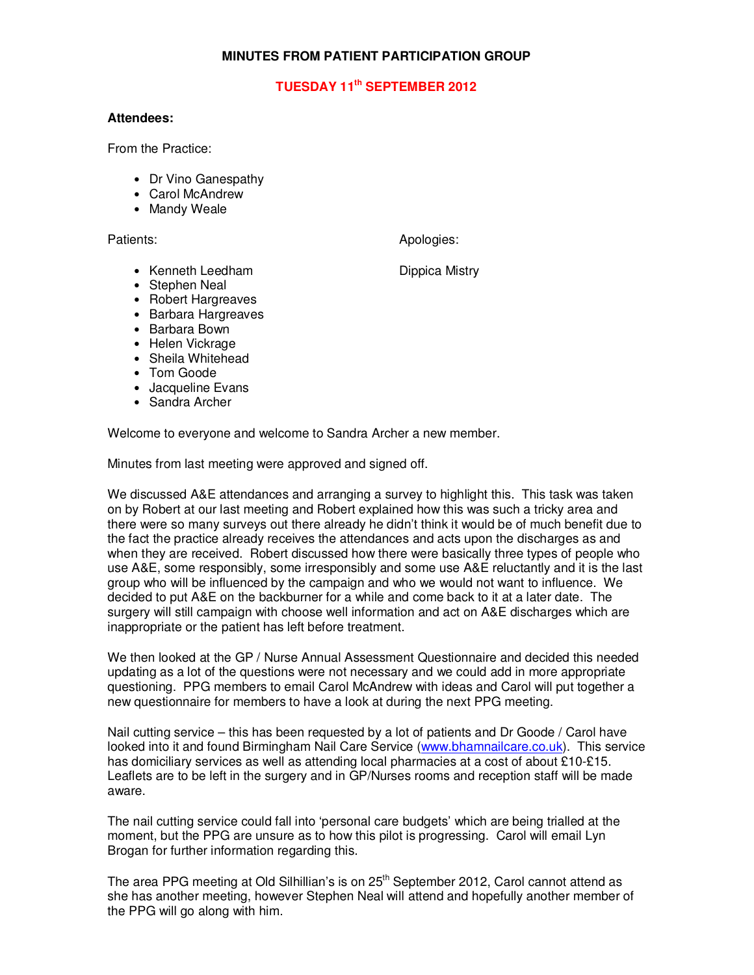# **MINUTES FROM PATIENT PARTICIPATION GROUP**

# **TUESDAY 11th SEPTEMBER 2012**

#### **Attendees:**

From the Practice:

- Dr Vino Ganespathy
- Carol McAndrew
- Mandy Weale

Patients: Apologies: Apologies: Apologies: Apologies: Apologies: Apologies: Apologies: Apologies: Apologies: Apologies: Apologies: Apologies: Apologies: Apologies: Apologies: Apologies: Apologies: Apologies: Apologies: Apo

• Kenneth Leedham Dippica Mistry

- Stephen Neal
- Robert Hargreaves
- Barbara Hargreaves
- Barbara Bown
- Helen Vickrage
- Sheila Whitehead
- Tom Goode
- Jacqueline Evans
- Sandra Archer

Welcome to everyone and welcome to Sandra Archer a new member.

Minutes from last meeting were approved and signed off.

We discussed A&E attendances and arranging a survey to highlight this. This task was taken on by Robert at our last meeting and Robert explained how this was such a tricky area and there were so many surveys out there already he didn't think it would be of much benefit due to the fact the practice already receives the attendances and acts upon the discharges as and when they are received. Robert discussed how there were basically three types of people who use A&E, some responsibly, some irresponsibly and some use A&E reluctantly and it is the last group who will be influenced by the campaign and who we would not want to influence. We decided to put A&E on the backburner for a while and come back to it at a later date. The surgery will still campaign with choose well information and act on A&E discharges which are inappropriate or the patient has left before treatment.

We then looked at the GP / Nurse Annual Assessment Questionnaire and decided this needed updating as a lot of the questions were not necessary and we could add in more appropriate questioning. PPG members to email Carol McAndrew with ideas and Carol will put together a new questionnaire for members to have a look at during the next PPG meeting.

Nail cutting service – this has been requested by a lot of patients and Dr Goode / Carol have looked into it and found Birmingham Nail Care Service (www.bhamnailcare.co.uk). This service has domiciliary services as well as attending local pharmacies at a cost of about £10-£15. Leaflets are to be left in the surgery and in GP/Nurses rooms and reception staff will be made aware.

The nail cutting service could fall into 'personal care budgets' which are being trialled at the moment, but the PPG are unsure as to how this pilot is progressing. Carol will email Lyn Brogan for further information regarding this.

The area PPG meeting at Old Silhillian's is on 25<sup>th</sup> September 2012, Carol cannot attend as she has another meeting, however Stephen Neal will attend and hopefully another member of the PPG will go along with him.